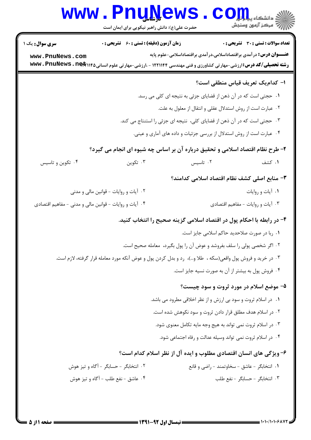|                                                        |                                                                                                             | حضرت علی(ع): دانش راهبر نیکویی برای ایمان است | ڪ دانشڪاه پ <b>يا با در</b><br>∕7 مرڪز آزمون وسنڊش                                                                                                                                                       |
|--------------------------------------------------------|-------------------------------------------------------------------------------------------------------------|-----------------------------------------------|----------------------------------------------------------------------------------------------------------------------------------------------------------------------------------------------------------|
| <b>سری سوال :</b> یک ۱                                 | <b>زمان آزمون (دقیقه) : تستی : 60 ٪ تشریحی : 0</b>                                                          |                                               | <b>تعداد سوالات : تستی : 30 ٪ تشریحی : 0</b>                                                                                                                                                             |
| www.PnuNews.com                                        |                                                                                                             |                                               | <b>عنــــوان درس:</b> در آمدی براقتصاداسلامی،در آمدی براقتصاداسلامی–علوم پایه<br><b>رشته تحصیلی/کد درس: ارزشی-مهارتی کشاورزی و فنی مهندسی ۱۲۲۱۱۴۴ - ،ارزشی-مهارتی علوم انسانی۱۴۵ WWW . PnuNews . net</b> |
|                                                        |                                                                                                             |                                               | ا- كدام يك تعريف قياس منطقى است؟                                                                                                                                                                         |
|                                                        |                                                                                                             |                                               | ۰۱ حجتی است که در آن ذهن از قضایای جزئی به نتیجه ای کلی می رسد.                                                                                                                                          |
|                                                        |                                                                                                             |                                               | ۰۲ عبارت است از روش استدلال عقلی و انتقال از معلول به علت.                                                                                                                                               |
|                                                        |                                                                                                             |                                               | ۰۳ حجتی است که در آن ذهن از قضایای کلی، نتیجه ای جزئی را استنتاج می کند.                                                                                                                                 |
|                                                        |                                                                                                             |                                               | ۰۴ عبارت است از روش استدلال از بررسی جزئیات و داده های آماری و عینی.                                                                                                                                     |
|                                                        |                                                                                                             |                                               | ۲- طرح نظام اقتصاد اسلامی و تحقیق درباره آن بر اساس چه شیوه ای انجام می گیرد؟                                                                                                                            |
| ۰۴ تکوین و تاسیس                                       | ۰۳ تکوین                                                                                                    | ۰۲ تاسیس                                      | ۰۱ کشف                                                                                                                                                                                                   |
|                                                        |                                                                                                             |                                               | ۳- منابع اصلی کشف نظام اقتصاد اسلامی کدامند؟                                                                                                                                                             |
|                                                        | ۰۲ آیات و روایات - قوانین مالی و مدنی                                                                       |                                               | ۰۱ آیات و روایات                                                                                                                                                                                         |
| ۰۴ آیات و روایات - قوانین مالی و مدنی - مفاهیم اقتصادی |                                                                                                             |                                               | ۰۳ آیات و روایات - مفاهیم اقتصادی                                                                                                                                                                        |
|                                                        |                                                                                                             |                                               | ۴- در رابطه با احکام پول در اقتصاد اسلامی گزینه صحیح را انتخاب کنید.                                                                                                                                     |
|                                                        |                                                                                                             |                                               | ۰۱ ربا در صورت صلاحدید حاکم اسلامی جایز است.                                                                                                                                                             |
|                                                        |                                                                                                             |                                               | ٠٢ اگر شخصي پولي را سلف بفروشد و عوض آن را پول بگيرد، معامله صحيح است.                                                                                                                                   |
|                                                        | ۰۳ در خرید و فروش پول واقعی(سکه ،  طلا و…)،  رد و بدل کردن پول و عوض آنکه مورد معامله قرار گرفته، لازم است. |                                               |                                                                                                                                                                                                          |
|                                                        |                                                                                                             |                                               | ۰۴ فروش پول به بیشتر از آن به صورت نسیه جایز است.                                                                                                                                                        |
|                                                        |                                                                                                             |                                               | ۵- موضع اسلام در مورد ثروت و سود چیست؟                                                                                                                                                                   |
|                                                        |                                                                                                             |                                               | ۰۱ در اسلام ثروت و سود بی ارزش و از نظر اخلاقی مطرود می باشد.                                                                                                                                            |
|                                                        |                                                                                                             |                                               | ٠٢ در اسلام هدف مطلق قرار دادن ثروت و سود نكوهش شده است.                                                                                                                                                 |
|                                                        |                                                                                                             |                                               | ۰۳ در اسلام ثروت نمی تواند به هیج وجه مایه تکامل معنوی شود.                                                                                                                                              |
|                                                        |                                                                                                             |                                               | ۰۴ در اسلام ثروت نمی تواند وسیله عدالت و رفاه اجتماعی شود.                                                                                                                                               |
|                                                        |                                                                                                             |                                               | ۶- ویژگی های انسان اقتصادی مطلوب و ایده آل از نظر اسلام کدام است؟                                                                                                                                        |
|                                                        | ۰۲ انتخابگر - حسابگر - آگاه و تيز هوش                                                                       |                                               | ۰۱ انتخابگر - عاشق - سخاوتمند - راضی و قانع                                                                                                                                                              |
|                                                        | ۰۴ عاشق - نفع طلب - آگاه و تيز هوش                                                                          |                                               | ٠٣ انتخابگر - حسابگر - نفع طلب                                                                                                                                                                           |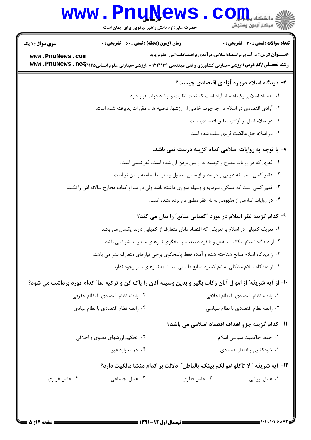|                        | <b>www.PnuNews</b><br>حضرت علی(ع): دانش راهبر نیکویی برای ایمان است                                                     |                                                                            | اد دانشگاه پی <mark>ا و ر</mark> وال<br>از دانشگاه پیا و تور                      |
|------------------------|-------------------------------------------------------------------------------------------------------------------------|----------------------------------------------------------------------------|-----------------------------------------------------------------------------------|
| <b>سری سوال : ۱ یک</b> | <b>زمان آزمون (دقیقه) : تستی : 60 ٪ تشریحی : 0</b>                                                                      |                                                                            | <b>تعداد سوالات : تستی : 30 ٪ تشریحی : 0</b>                                      |
| www.PnuNews.com        | <b>رشته تحصیلی/کد درس: ارزشی-مهارتی کشاورزی و فنی مهندسی ۱۲۲۱۱۴۴ - ،ارزشی-مهارتی علوم انسانی۱۴۵ WWW . PnuNews . net</b> |                                                                            | <b>عنـــوان درس:</b> در آمدی براقتصاداسلامی،در آمدی براقتصاداسلامی-علوم پایه      |
|                        |                                                                                                                         |                                                                            | ۷- دیدگاه اسلام درباره آزادی اقتصادی چیست؟                                        |
|                        |                                                                                                                         | ۰۱ اقتصاد اسلامی یک اقتصاد آزاد است که تحت نظارت و ارشاد دولت قرار دارد.   |                                                                                   |
|                        | ۲. آزادی اقتصادی در اسلام در چارچوب خاصی از ارزشها، توصیه ها و مقررات پذیرفته شده است.                                  |                                                                            |                                                                                   |
|                        |                                                                                                                         |                                                                            | ۰۳ در اسلام اصل بر آزادی مطلق اقتصادی است.                                        |
|                        |                                                                                                                         |                                                                            | ۰۴ در اسلام حق مالکیت فردی سلب شده است.                                           |
|                        |                                                                                                                         |                                                                            | ۸− با توجه به روایات اسلامی کدام گزینه درست <u>نمی</u> باشد.                      |
|                        |                                                                                                                         | ۰۱ فقری که در روایات مطرح و توصیه به از بین بردن آن شده است، فقر نسبی است. |                                                                                   |
|                        |                                                                                                                         |                                                                            | ۰۲ فقیر کسی است که دارایی و درآمد او از سطح معمول و متوسط جامعه پایین تر است.     |
|                        | ۰۳ فقیر کسی است که مسکن، سرمایه و وسیله سواری داشته باشد ولی درآمد او کفاف مخارج سالانه اش را نکند.                     |                                                                            |                                                                                   |
|                        |                                                                                                                         |                                                                            | ۰۴ در روایات اسلامی از مفهومی به نام فقر مطلق نام برده نشده است.                  |
|                        |                                                                                                                         |                                                                            | ۹- کدام گزینه نظر اسلام در مورد "کمیابی منابع ّ را بیان می کند؟                   |
|                        | ۰۱ تعریف کمیابی در اسلام با تعریفی که اقتصاد دانان متعارف از کمیابی دارند یکسان می باشد.                                |                                                                            |                                                                                   |
|                        | ٠٢ از ديدگاه اسلام امكانات بالفعل و بالقوه طبيعت، پاسخگوي نيازهاي متعارف بشر نمي باشد.                                  |                                                                            |                                                                                   |
|                        | ۰۳ از دیدگاه اسلام منابع شناخته شده و آماده فقط پاسخگوی برخی نیازهای متعارف بشر می باشد.                                |                                                                            |                                                                                   |
|                        |                                                                                                                         |                                                                            | ۰۴ از دیدگاه اسلام مشکلی به نام کمبود منابع طبیعی نسبت به نیازهای بشر وجود ندارد. |
|                        | ∙۱− از آیه شریفه″ از اموال آنان زکات بگیر و بدین وسیله آنان را پاک کن و تزکیه نما″ کدام مورد برداشت می شود؟             |                                                                            |                                                                                   |
|                        | ٠٢ رابطه نظام اقتصادي با نظام حقوقي                                                                                     |                                                                            | ٠١. رابطه نظام اقتصادي با نظام اخلاقي                                             |
|                        | ۰۴ رابطه نظام اقتصادي با نظام عبادي                                                                                     |                                                                            | ٠٣ رابطه نظام اقتصادى با نظام سياسى                                               |
|                        |                                                                                                                         |                                                                            | 11- كدام گزينه جزو اهداف اقتصاد اسلامي مي باشد؟                                   |
|                        | ۰۲ تحکیم ارزشهای معنوی و اخلاقی                                                                                         |                                                                            | ۰۱ حفظ حاکمیت سیاسی اسلام                                                         |
|                        | ۰۴ همه موارد فوق                                                                                                        |                                                                            | ۰۳ خودکفایی و اقتدار اقتصادی                                                      |
|                        | ١٢- آيه شريفه " لا تاكلو اموالكم بينكم بالباطل" دلالت بر كدام منشا مالكيت دارد؟                                         |                                                                            |                                                                                   |
| ۰۴ عامل غريزي          | ۰۳ عامل اجتماعی                                                                                                         | ۰۲ عامل فطری                                                               | ۰۱ عامل ارزشی                                                                     |
|                        |                                                                                                                         |                                                                            |                                                                                   |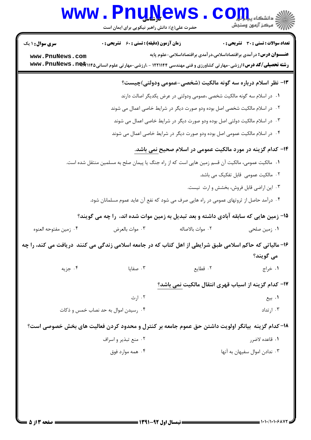|                                                                                                          | www.rnuwews<br>حضرت علی(ع): دانش راهبر نیکویی برای ایمان است                                                                        |                                                                                 | اللاد دانشکاه پیا والوال<br>اللاه مرکز آزمون وسنجش |  |
|----------------------------------------------------------------------------------------------------------|-------------------------------------------------------------------------------------------------------------------------------------|---------------------------------------------------------------------------------|----------------------------------------------------|--|
| <b>سری سوال : ۱ یک</b>                                                                                   | <b>زمان آزمون (دقیقه) : تستی : 60 ٪ تشریحی : 0</b>                                                                                  |                                                                                 | <b>تعداد سوالات : تستی : 30 ٪ تشریحی : 0</b>       |  |
| www.PnuNews.com                                                                                          | <b>رشته تحصیلی/کد درس:</b> ارزشی-مهارتی کشاورزی و فنی مهندسی ۱۲۲۱۱۴۴ - ،ارزشی-مهارتی علوم انسانی۱۴۵ <b>۹۴۵ WWW . PnuNews . ne</b> t | <b>عنــــوان درس:</b> در آمدی براقتصاداسلامی،در آمدی براقتصاداسلامی-علوم پایه   |                                                    |  |
|                                                                                                          |                                                                                                                                     | ۱۳- نظر اسلام درباره سه گونه مالکیت (شخصی-عمومی ودولتی)چیست؟                    |                                                    |  |
|                                                                                                          |                                                                                                                                     | <b>۱</b> . در اسلام سه گونه مالکیت شخصی ،عمومی ودولتی در عرض یکدیگر اصالت دارند |                                                    |  |
|                                                                                                          |                                                                                                                                     | ۰۲ در اسلام مالکیت شخصی اصل بوده ودو صورت دیگر در شرایط خاصی اعمال می شوند      |                                                    |  |
| ۰۳ در اسلام مالکیت دولتی اصل بوده ودو صورت دیگر در شرایط خاصی اعمال می شوند                              |                                                                                                                                     |                                                                                 |                                                    |  |
| ۰۴ در اسلام مالکیت عمومی اصل بوده ودو صورت دیگر در شرایط خاصی اعمال می شوند                              |                                                                                                                                     |                                                                                 |                                                    |  |
| ۱۴- کدام گزینه در مورد مالکیت عمومی در اسلام صحیح نمی باشد.                                              |                                                                                                                                     |                                                                                 |                                                    |  |
| ۰۱ مالکیت عمومی، مالکیت آن قسم زمین هایی است که از راه جنگ یا پیمان صلح به مسلمین منتقل شده است.         |                                                                                                                                     |                                                                                 |                                                    |  |
|                                                                                                          |                                                                                                                                     |                                                                                 | ۰۲ مالکیت عمومی قابل تفکیک می باشد.                |  |
|                                                                                                          |                                                                                                                                     |                                                                                 | ۰۳ این اراضی قابل فروش، بخشش و ارث نیست.           |  |
|                                                                                                          | ۰۴ درآمد حاصل از ثروتهای عمومی در راه هایی صرف می شود که نفع آن عاید عموم مسلمانان شود.                                             |                                                                                 |                                                    |  |
|                                                                                                          | 1۵- زمین هایی که سابقه آبادی داشته و بعد تبدیل به زمین موات شده اند، را چه می گویند؟                                                |                                                                                 |                                                    |  |
| ۰۴ زمين مفتوحه العنوه                                                                                    | ۰۳ موات بالعرض                                                                                                                      | ٠٢ موات بالاصاله                                                                | ۰۱ زمین صلحی                                       |  |
| ۱۶- مالیاتی که حاکم اسلامی طبق شرایطی از اهل کتاب که در جامعه اسلامی زندگی می کنند  دریافت می کند، را چه |                                                                                                                                     |                                                                                 |                                                    |  |
|                                                                                                          |                                                                                                                                     |                                                                                 | می گویند؟                                          |  |
| ۰۴ جزیه                                                                                                  | $\cdot$ 7 صفایا                                                                                                                     | ۰۲ قطایع                                                                        | ۰۱ خراج                                            |  |
|                                                                                                          |                                                                                                                                     | ۱۷– کدام گزینه از اسباب قهری انتقال مالکیت نمی باشد؟                            |                                                    |  |
|                                                                                                          | ۰۲ ارث                                                                                                                              |                                                                                 | ۰۱ بیع                                             |  |
|                                                                                                          | ۰۴ رسیدن اموال به حد نصاب خمس و ذکات                                                                                                |                                                                                 | ۰۳ ارتداد                                          |  |
|                                                                                                          | ۱۸– کدام گزینه بیانگر اولویت داشتن حق عموم جامعه بر کنترل و محدود کردن فعالیت های بخش خصوصی است؟                                    |                                                                                 |                                                    |  |
|                                                                                                          | ۰۲ منع تبذیر و اسراف                                                                                                                |                                                                                 | ۰۱ قاعده لاضرر                                     |  |
|                                                                                                          | ۰۴ همه موارد فوق                                                                                                                    |                                                                                 | ۰۳ ندادن اموال سفیهان به آنها                      |  |
|                                                                                                          |                                                                                                                                     |                                                                                 |                                                    |  |
|                                                                                                          |                                                                                                                                     |                                                                                 |                                                    |  |
|                                                                                                          |                                                                                                                                     |                                                                                 |                                                    |  |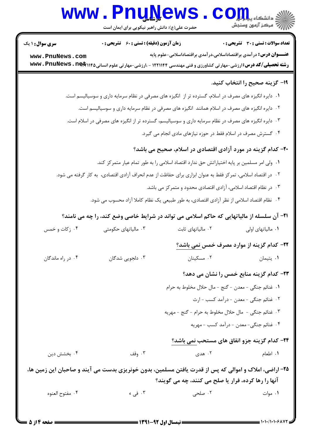|                        | <b>www.rnuwews</b><br>حضرت علی(ع): دانش راهبر نیکویی برای ایمان است |                                                                                                                                                                                                                      |                                              |
|------------------------|---------------------------------------------------------------------|----------------------------------------------------------------------------------------------------------------------------------------------------------------------------------------------------------------------|----------------------------------------------|
| <b>سری سوال : ۱ یک</b> | <b>زمان آزمون (دقیقه) : تستی : 60 ٪ تشریحی : 0</b>                  |                                                                                                                                                                                                                      | <b>تعداد سوالات : تستی : 30 ٪ تشریحی : 0</b> |
| www.PnuNews.com        |                                                                     | <b>عنــــوان درس:</b> در آمدی براقتصاداسلامی،در آمدی براقتصاداسلامی-علوم پایه<br><b>رشته تحصیلی/کد درس:</b> ارزشی-مهارتی کشاورزی و فنی مهندسی ۱۲۲۱۱۴۴ - ،ارزشی-مهارتی علوم انسانی۱۴۵ <b>۹۴۵ WWW . PnuNews . ne</b> t |                                              |
|                        |                                                                     |                                                                                                                                                                                                                      | ۱۹- گزینه صحیح را انتخاب کنید.               |
|                        |                                                                     | ۰۱ دایره انگیزه های مصرف در اسلام، گسترده تر از انگیزه های مصرفی در نظام سرمایه داری و سوسیالیسم است.                                                                                                                |                                              |
|                        |                                                                     | ۰۲ دایره انگیزه های مصرف در اسلام همانند انگیزه های مصرفی در نظام سرمایه داری و سوسیالیسم است.                                                                                                                       |                                              |
|                        |                                                                     | ۰۳ دایره انگیزه های مصرف در نظام سرمایه داری و سوسیالیسم، گسترده تر از انگیزه های مصرفی در اسلام است.                                                                                                                |                                              |
|                        |                                                                     | ۰۴ گسترش مصرف در اسلام فقط در حوزه نیازهای مادی انجام می گیرد.                                                                                                                                                       |                                              |
|                        |                                                                     | -۲- کدام گزینه در مورد آزادی اقتصادی در اسلام، صحیح می باشد؟                                                                                                                                                         |                                              |
|                        |                                                                     | ۰۱ ولی امر مسلمین بر پایه اختیاراتش حق ندارد اقتصاد اسلامی را به طور تمام عیار متمرکز کند.                                                                                                                           |                                              |
|                        |                                                                     | ۰۲ در اقتصاد اسلامی، تمرکز فقط به عنوان ابزاری برای حفاظت از عدم انحراف آزادی اقتصادی،  به کار گرفته می شود.                                                                                                         |                                              |
|                        |                                                                     | ۰۳ در نظام اقتصاد اسلامی، آزادی اقتصادی محدود و متمرکز می باشد.                                                                                                                                                      |                                              |
|                        |                                                                     | ۰۴ نظام اقتصاد اسلامی از نظر آزادی اقتصادی، به طور طبیعی یک نظام کاملا آزاد محسوب می شود.                                                                                                                            |                                              |
|                        |                                                                     | <b>۳۱</b> - آن سلسله از مالیاتهایی که حاکم اسلامی می تواند در شرایط خاصی وضع کند، را چه می نامند؟                                                                                                                    |                                              |
| ۰۴ زکات و خمس          | ۰۳ مالیاتهای حکومتی                                                 | ۰۲ مالیاتهای ثابت                                                                                                                                                                                                    | ۰۱ مالیاتهای اولی                            |
|                        |                                                                     | <b>۲۲- کدام گزینه از موارد مصرف خمس نمی باشد؟</b>                                                                                                                                                                    |                                              |
| ۰۴ در راه ماندگان      | ۰۳ دلجویی شدگان                                                     | ٠٢ مسكينان                                                                                                                                                                                                           | ۰۱ يتيمان                                    |
|                        |                                                                     |                                                                                                                                                                                                                      | ۲۳- کدام گزینه منابع خمس را نشان می دهد؟     |
|                        |                                                                     | ١. غنائم جنگي - معدن - گنج - مال حلال مخلوط به حرام                                                                                                                                                                  |                                              |
|                        |                                                                     |                                                                                                                                                                                                                      | ٢. غنائم جنگي - معدن - درآمد كسب - ارث       |
|                        |                                                                     | ۰۳ غنائم جنگی - مال حلال مخلوط به حرام - گنج - مهریه                                                                                                                                                                 |                                              |
|                        |                                                                     |                                                                                                                                                                                                                      | ۴. غنائم جنگي- معدن - درآمد كسب - مهريه      |
|                        |                                                                     | ۲۴- کدام گزینه جزو انفاق های مستحب نمی باشد؟                                                                                                                                                                         |                                              |
| ۰۴ بخشش دین            | ۰۳ وقف                                                              | ۰۲ هدی                                                                                                                                                                                                               | ١. اطعام                                     |
|                        |                                                                     | ۲۵- اراضی، املاک و اموالی که پس از قدرت یافتن مسلمین، بدون خونریزی بدست می آیند و صاحبان این زمین ها،<br>آنها را رها کرده، فرار یا صلح می کنند، چه می گویند؟                                                         |                                              |
| ۰۴ مفتوح العنوه        | ۰۳ فی ء                                                             | ۰۲ صلحی                                                                                                                                                                                                              | ۰۱ موات                                      |
|                        |                                                                     |                                                                                                                                                                                                                      |                                              |